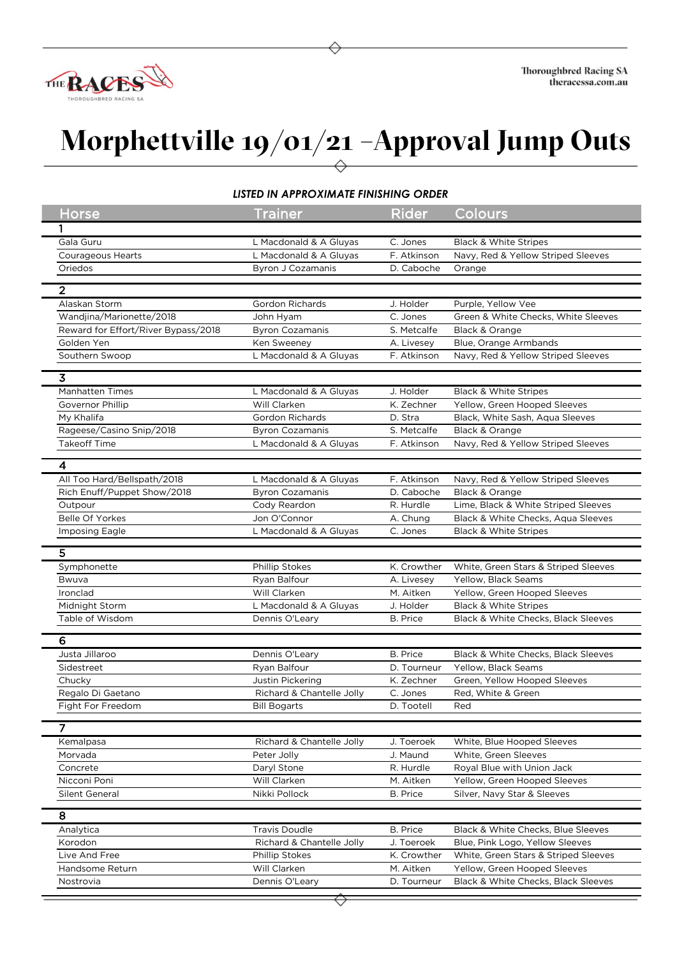

## **Morphettville 19/01/21 –Approval Jump Outs**

## *LISTED IN APPROXIMATE FINISHING ORDER*

| LISTED IN APPROXIMATE FINISHING ORDER |                           |                 |                                      |  |  |
|---------------------------------------|---------------------------|-----------------|--------------------------------------|--|--|
| Horse                                 | <b>Trainer</b>            | <b>Rider</b>    | Colours                              |  |  |
|                                       |                           |                 |                                      |  |  |
| Gala Guru                             | L Macdonald & A Gluyas    | C. Jones        | <b>Black &amp; White Stripes</b>     |  |  |
| Courageous Hearts                     | L Macdonald & A Gluyas    | F. Atkinson     | Navy, Red & Yellow Striped Sleeves   |  |  |
| Oriedos                               | <b>Byron J Cozamanis</b>  | D. Caboche      | Orange                               |  |  |
| $\overline{2}$                        |                           |                 |                                      |  |  |
| Alaskan Storm                         | <b>Gordon Richards</b>    | J. Holder       | Purple, Yellow Vee                   |  |  |
| Wandjina/Marionette/2018              | John Hyam                 | C. Jones        | Green & White Checks, White Sleeves  |  |  |
| Reward for Effort/River Bypass/2018   | <b>Byron Cozamanis</b>    | S. Metcalfe     | Black & Orange                       |  |  |
| Golden Yen                            | Ken Sweeney               | A. Livesey      | Blue, Orange Armbands                |  |  |
| Southern Swoop                        | L Macdonald & A Gluyas    | F. Atkinson     | Navy, Red & Yellow Striped Sleeves   |  |  |
| $\overline{3}$                        |                           |                 |                                      |  |  |
| <b>Manhatten Times</b>                | L Macdonald & A Gluyas    | J. Holder       | <b>Black &amp; White Stripes</b>     |  |  |
| Governor Phillip                      | Will Clarken              | K. Zechner      | Yellow, Green Hooped Sleeves         |  |  |
| My Khalifa                            | Gordon Richards           | D. Stra         | Black, White Sash, Aqua Sleeves      |  |  |
| Rageese/Casino Snip/2018              | <b>Byron Cozamanis</b>    | S. Metcalfe     | Black & Orange                       |  |  |
| <b>Takeoff Time</b>                   | L Macdonald & A Gluyas    | F. Atkinson     | Navy, Red & Yellow Striped Sleeves   |  |  |
| 4                                     |                           |                 |                                      |  |  |
| All Too Hard/Bellspath/2018           | L Macdonald & A Gluyas    | F. Atkinson     | Navy, Red & Yellow Striped Sleeves   |  |  |
| Rich Enuff/Puppet Show/2018           | <b>Byron Cozamanis</b>    | D. Caboche      | Black & Orange                       |  |  |
| Outpour                               | Cody Reardon              | R. Hurdle       | Lime, Black & White Striped Sleeves  |  |  |
| <b>Belle Of Yorkes</b>                | Jon O'Connor              | A. Chung        | Black & White Checks, Aqua Sleeves   |  |  |
| Imposing Eagle                        | L Macdonald & A Gluyas    | C. Jones        | <b>Black &amp; White Stripes</b>     |  |  |
|                                       |                           |                 |                                      |  |  |
| 5                                     |                           |                 |                                      |  |  |
| Symphonette                           | Phillip Stokes            | K. Crowther     | White, Green Stars & Striped Sleeves |  |  |
| Bwuva                                 | Ryan Balfour              | A. Livesey      | Yellow, Black Seams                  |  |  |
| Ironclad                              | Will Clarken              | M. Aitken       | Yellow, Green Hooped Sleeves         |  |  |
| Midnight Storm                        | L Macdonald & A Gluyas    | J. Holder       | <b>Black &amp; White Stripes</b>     |  |  |
| Table of Wisdom                       | Dennis O'Leary            | B. Price        | Black & White Checks, Black Sleeves  |  |  |
| 6                                     |                           |                 |                                      |  |  |
| Justa Jillaroo                        | Dennis O'Leary            | <b>B.</b> Price | Black & White Checks, Black Sleeves  |  |  |
| Sidestreet                            | Ryan Balfour              | D. Tourneur     | Yellow, Black Seams                  |  |  |
| Chucky                                | Justin Pickering          | K. Zechner      | Green, Yellow Hooped Sleeves         |  |  |
| Regalo Di Gaetano                     | Richard & Chantelle Jolly | C. Jones        | Red, White & Green                   |  |  |
| Fight For Freedom                     | Bill Bogarts              | D. Tootell      | Red                                  |  |  |
| $\overline{7}$                        |                           |                 |                                      |  |  |
| Kemalpasa                             | Richard & Chantelle Jolly | J. Toeroek      | White, Blue Hooped Sleeves           |  |  |
| Morvada                               | Peter Jolly               | J. Maund        | White, Green Sleeves                 |  |  |
| Concrete                              | Daryl Stone               | R. Hurdle       | Royal Blue with Union Jack           |  |  |
| Nicconi Poni                          | Will Clarken              | M. Aitken       | Yellow, Green Hooped Sleeves         |  |  |
| Silent General                        | Nikki Pollock             | B. Price        | Silver, Navy Star & Sleeves          |  |  |
| 8                                     |                           |                 |                                      |  |  |
| Analytica                             | <b>Travis Doudle</b>      | <b>B.</b> Price | Black & White Checks, Blue Sleeves   |  |  |
| Korodon                               | Richard & Chantelle Jolly | J. Toeroek      | Blue, Pink Logo, Yellow Sleeves      |  |  |
| Live And Free                         | <b>Phillip Stokes</b>     | K. Crowther     | White, Green Stars & Striped Sleeves |  |  |
| Handsome Return                       | Will Clarken              | M. Aitken       | Yellow, Green Hooped Sleeves         |  |  |
| Nostrovia                             | Dennis O'Leary            | D. Tourneur     | Black & White Checks, Black Sleeves  |  |  |
|                                       |                           |                 |                                      |  |  |